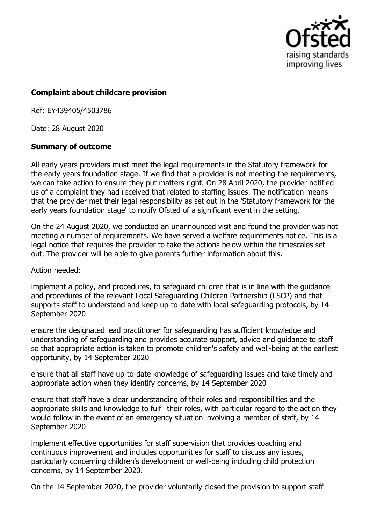

## **Complaint about childcare provision**

Ref: EY439405/4503786

Date: 28 August 2020

## **Summary of outcome**

All early years providers must meet the legal requirements in the Statutory framework for the early years foundation stage. If we find that a provider is not meeting the requirements, we can take action to ensure they put matters right. On 28 April 2020, the provider notified us of a complaint they had received that related to staffing issues. The notification means that the provider met their legal responsibility as set out in the 'Statutory framework for the early years foundation stage' to notify Ofsted of a significant event in the setting.

On the 24 August 2020, we conducted an unannounced visit and found the provider was not meeting a number of requirements. We have served a welfare requirements notice. This is a legal notice that requires the provider to take the actions below within the timescales set out. The provider will be able to give parents further information about this.

Action needed:

implement a policy, and procedures, to safeguard children that is in line with the guidance and procedures of the relevant Local Safeguarding Children Partnership (LSCP) and that supports staff to understand and keep up-to-date with local safeguarding protocols, by 14 September 2020

ensure the designated lead practitioner for safeguarding has sufficient knowledge and understanding of safeguarding and provides accurate support, advice and guidance to staff so that appropriate action is taken to promote children's safety and well-being at the earliest opportunity, by 14 September 2020

ensure that all staff have up-to-date knowledge of safeguarding issues and take timely and appropriate action when they identify concerns, by 14 September 2020

ensure that staff have a clear understanding of their roles and responsibilities and the appropriate skills and knowledge to fulfil their roles, with particular regard to the action they would follow in the event of an emergency situation involving a member of staff, by 14 September 2020

implement effective opportunities for staff supervision that provides coaching and continuous improvement and includes opportunities for staff to discuss any issues, particularly concerning children's development or well-being including child protection concerns, by 14 September 2020.

On the 14 September 2020, the provider voluntarily closed the provision to support staff